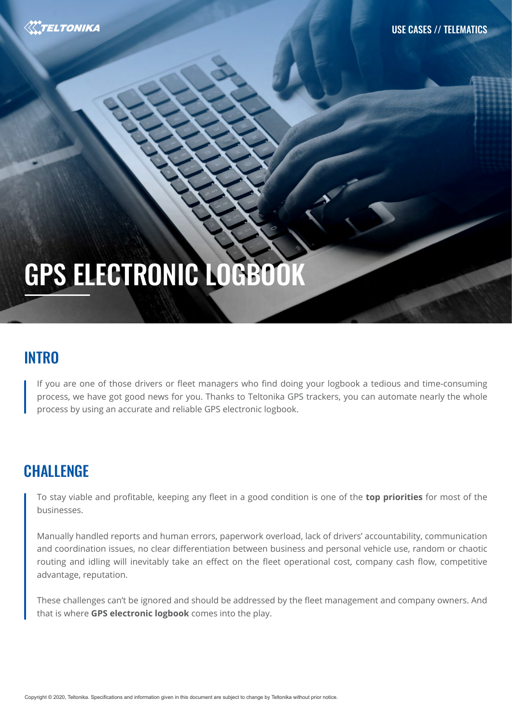

# GPS ELECTRONIC LOGBOOK

#### **INTRO**

If you are one of those drivers or fleet managers who find doing your logbook a tedious and time-consuming process, we have got good news for you. Thanks to Teltonika GPS trackers, you can automate nearly the whole process by using an accurate and reliable GPS electronic logbook.

## **CHALLENGE**

To stay viable and profitable, keeping any fleet in a good condition is one of the **top priorities** for most of the businesses.

Manually handled reports and human errors, paperwork overload, lack of drivers' accountability, communication and coordination issues, no clear differentiation between business and personal vehicle use, random or chaotic routing and idling will inevitably take an effect on the fleet operational cost, company cash flow, competitive advantage, reputation.

These challenges can't be ignored and should be addressed by the fleet management and company owners. And that is where **GPS electronic logbook** comes into the play.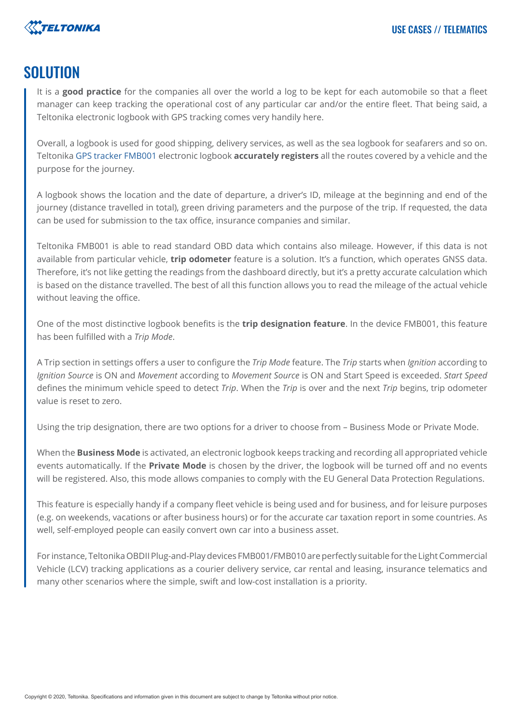

#### SOLUTION

It is a **good practice** for the companies all over the world a log to be kept for each automobile so that a fleet manager can keep tracking the operational cost of any particular car and/or the entire fleet. That being said, a Teltonika electronic logbook with GPS tracking comes very handily here.

Overall, a logbook is used for good shipping, delivery services, as well as the sea logbook for seafarers and so on. Teltonika [GPS tracker FMB001](https://teltonika-gps.com/product/fmb001/) electronic logbook **accurately registers** all the routes covered by a vehicle and the purpose for the journey.

A logbook shows the location and the date of departure, a driver's ID, mileage at the beginning and end of the journey (distance travelled in total), green driving parameters and the purpose of the trip. If requested, the data can be used for submission to the tax office, insurance companies and similar.

Teltonika FMB001 is able to read standard OBD data which contains also mileage. However, if this data is not available from particular vehicle, **trip odometer** feature is a solution. It's a function, which operates GNSS data. Therefore, it's not like getting the readings from the dashboard directly, but it's a pretty accurate calculation which is based on the distance travelled. The best of all this function allows you to read the mileage of the actual vehicle without leaving the office.

One of the most distinctive logbook benefits is the **trip designation feature**. In the device FMB001, this feature has been fulfilled with a *Trip Mode*.

A Trip section in settings offers a user to configure the *Trip Mode* feature. The *Trip* starts when *Ignition* according to *Ignition Source* is ON and *Movement* according to *Movement Source* is ON and Start Speed is exceeded. *Start Speed* defines the minimum vehicle speed to detect *Trip*. When the *Trip* is over and the next *Trip* begins, trip odometer value is reset to zero.

Using the trip designation, there are two options for a driver to choose from – Business Mode or Private Mode.

When the **Business Mode** is activated, an electronic logbook keeps tracking and recording all appropriated vehicle events automatically. If the **Private Mode** is chosen by the driver, the logbook will be turned off and no events will be registered. Also, this mode allows companies to comply with the EU General Data Protection Regulations.

This feature is especially handy if a company fleet vehicle is being used and for business, and for leisure purposes (e.g. on weekends, vacations or after business hours) or for the accurate car taxation report in some countries. As well, self-employed people can easily convert own car into a business asset.

For instance, Teltonika OBDII Plug-and-Play devices FMB001/FMB010 are perfectly suitable for the Light Commercial Vehicle (LCV) tracking applications as a courier delivery service, car rental and leasing, insurance telematics and many other scenarios where the simple, swift and low-cost installation is a priority.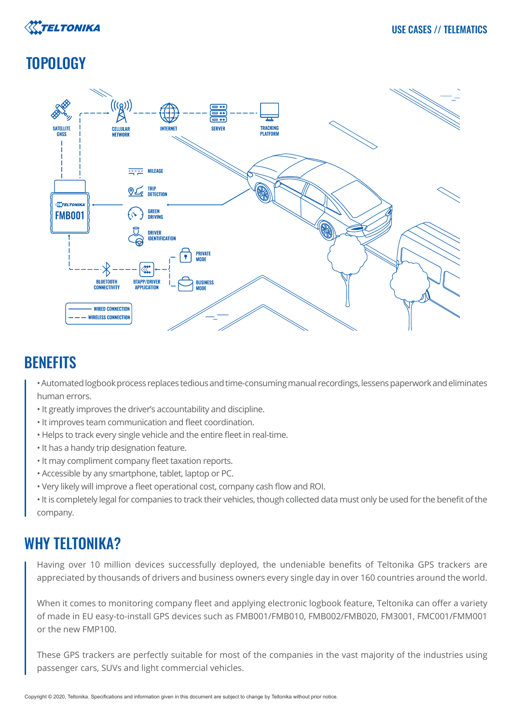

## **TOPOLOGY**



#### **BENEFITS**

- Automated logbook process replaces tedious and time-consuming manual recordings, lessens paperwork and eliminates human errors.
- It greatly improves the driver's accountability and discipline.
- It improves team communication and fleet coordination.
- Helps to track every single vehicle and the entire fleet in real-time.
- It has a handy trip designation feature.
- It may compliment company fleet taxation reports.
- Accessible by any smartphone, tablet, laptop or PC.
- Very likely will improve a fleet operational cost, company cash flow and ROI.
- It is completely legal for companies to track their vehicles, though collected data must only be used for the benefit of the company.

## WHY TELTONIKA?

Having over 10 million devices successfully deployed, the undeniable benefits of Teltonika GPS trackers are appreciated by thousands of drivers and business owners every single day in over 160 countries around the world.

When it comes to monitoring company fleet and applying electronic logbook feature, Teltonika can offer a variety of made in EU easy-to-install GPS devices such as FMB001/FMB010, FMB002/FMB020, FM3001, FMC001/FMM001 or the new FMP100.

These GPS trackers are perfectly suitable for most of the companies in the vast majority of the industries using passenger cars, SUVs and light commercial vehicles.